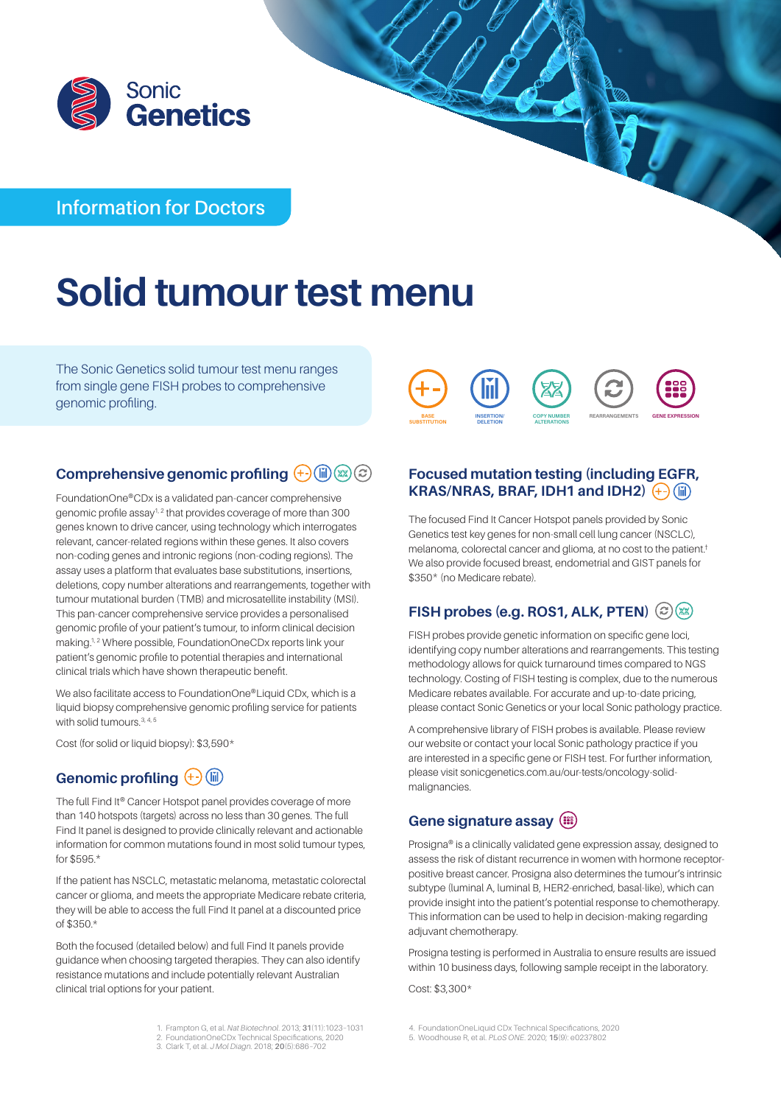

# **Information for Doctors**

# **Solid tumour test menu**

The Sonic Genetics solid tumour test menu ranges from single gene FISH probes to comprehensive genomic profiling.



## **Comprehensive genomic profiling**  $\overline{+}$  **(iii) (x)**  $\circledcirc$ **)**

FoundationOne®CDx is a validated pan-cancer comprehensive genomic profile assay1, 2 that provides coverage of more than 300 genes known to drive cancer, using technology which interrogates relevant, cancer-related regions within these genes. It also covers non-coding genes and intronic regions (non-coding regions). The assay uses a platform that evaluates base substitutions, insertions, deletions, copy number alterations and rearrangements, together with tumour mutational burden (TMB) and microsatellite instability (MSI). This pan-cancer comprehensive service provides a personalised genomic profile of your patient's tumour, to inform clinical decision making.<sup>1, 2</sup> Where possible, FoundationOneCDx reports link your patient's genomic profile to potential therapies and international clinical trials which have shown therapeutic benefit.

We also facilitate access to FoundationOne®Liquid CDx, which is a liquid biopsy comprehensive genomic profiling service for patients with solid tumours.<sup>3, 4, 5</sup>

Cost (for solid or liquid biopsy): \$3,590\*

# Genomic profiling  $\overline{)}$  (ii)

The full Find It® Cancer Hotspot panel provides coverage of more than 140 hotspots (targets) across no less than 30 genes. The full Find It panel is designed to provide clinically relevant and actionable information for common mutations found in most solid tumour types, for \$595.\*

If the patient has NSCLC, metastatic melanoma, metastatic colorectal cancer or glioma, and meets the appropriate Medicare rebate criteria, they will be able to access the full Find It panel at a discounted price of \$350.\*

Both the focused (detailed below) and full Find It panels provide guidance when choosing targeted therapies. They can also identify resistance mutations and include potentially relevant Australian clinical trial options for your patient.

**Focused mutation testing (including EGFR, KRAS/NRAS, BRAF, IDH1 and IDH2)**  $(+)$  (ii)

The focused Find It Cancer Hotspot panels provided by Sonic Genetics test key genes for non-small cell lung cancer (NSCLC), melanoma, colorectal cancer and glioma, at no cost to the patient.† We also provide focused breast, endometrial and GIST panels for \$350\* (no Medicare rebate).

## **FISH probes (e.g. ROS1, ALK, PTEN)**  $\bigcirc$  (22)

FISH probes provide genetic information on specific gene loci, identifying copy number alterations and rearrangements. This testing methodology allows for quick turnaround times compared to NGS technology. Costing of FISH testing is complex, due to the numerous Medicare rebates available. For accurate and up-to-date pricing, please contact Sonic Genetics or your local Sonic pathology practice.

A comprehensive library of FISH probes is available. Please review our website or contact your local Sonic pathology practice if you are interested in a specific gene or FISH test. For further information, please visit [sonicgenetics.com.au/our-tests/oncology-solid](http://www.sonicgenetics.com.au/our-tests/oncology-solid-malignancies)[malignancies.](http://www.sonicgenetics.com.au/our-tests/oncology-solid-malignancies)

## **Gene signature assay**

Prosigna® is a clinically validated gene expression assay, designed to assess the risk of distant recurrence in women with hormone receptorpositive breast cancer. Prosigna also determines the tumour's intrinsic subtype (luminal A, luminal B, HER2-enriched, basal-like), which can provide insight into the patient's potential response to chemotherapy. This information can be used to help in decision-making regarding adjuvant chemotherapy.

Prosigna testing is performed in Australia to ensure results are issued within 10 business days, following sample receipt in the laboratory.

Cost: \$3,300\*

- 1. Frampton G, et al. *Nat Biotechnol*. 2013; **31**(11):1023–1031
- 2. FoundationOneCDx Technical Specifications, 2020 3. Clark T, et al. *J Mol Diagn*. 2018; **20**(5):686–702
- 4. FoundationOneLiquid CDx Technical Specifications, 2020
- 5. Woodhouse R, et al. *PLoS ONE*. 2020; **15**(9): e0237802